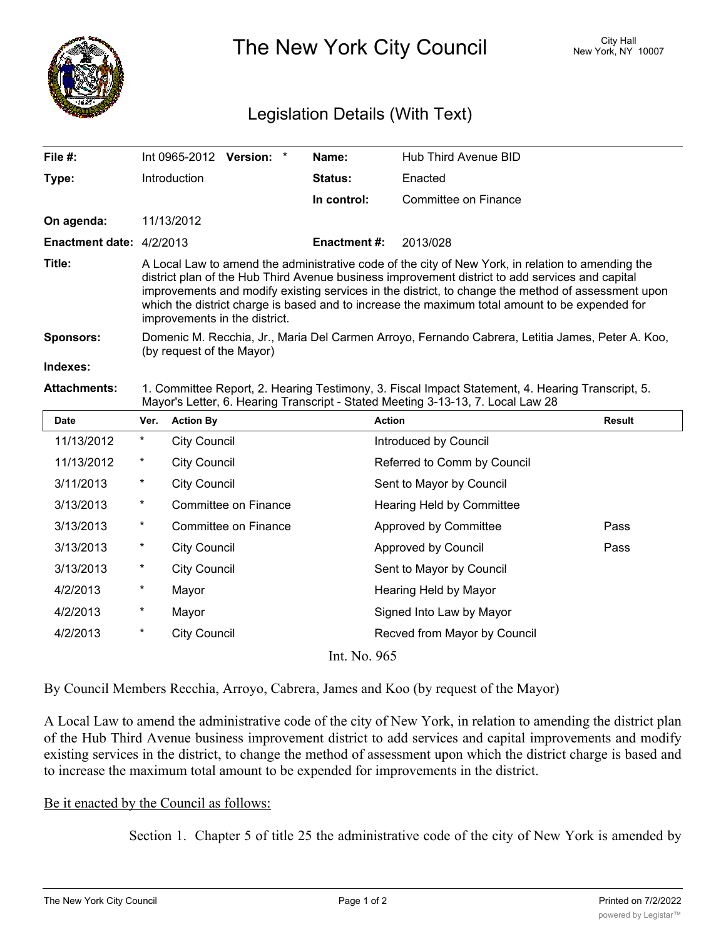

The New York City Council New York, NY 10007

## Legislation Details (With Text)

| File #:                         | $Int 0965-2012$ Version: $*$                                                                                                                                                                                                                                                                                                                                                                                                                  |  |  | Name:               | Hub Third Avenue BID |  |  |
|---------------------------------|-----------------------------------------------------------------------------------------------------------------------------------------------------------------------------------------------------------------------------------------------------------------------------------------------------------------------------------------------------------------------------------------------------------------------------------------------|--|--|---------------------|----------------------|--|--|
| Type:                           | <b>Introduction</b>                                                                                                                                                                                                                                                                                                                                                                                                                           |  |  | <b>Status:</b>      | Enacted              |  |  |
|                                 |                                                                                                                                                                                                                                                                                                                                                                                                                                               |  |  | In control:         | Committee on Finance |  |  |
| On agenda:                      | 11/13/2012                                                                                                                                                                                                                                                                                                                                                                                                                                    |  |  |                     |                      |  |  |
| <b>Enactment date: 4/2/2013</b> |                                                                                                                                                                                                                                                                                                                                                                                                                                               |  |  | <b>Enactment #:</b> | 2013/028             |  |  |
| Title:                          | A Local Law to amend the administrative code of the city of New York, in relation to amending the<br>district plan of the Hub Third Avenue business improvement district to add services and capital<br>improvements and modify existing services in the district, to change the method of assessment upon<br>which the district charge is based and to increase the maximum total amount to be expended for<br>improvements in the district. |  |  |                     |                      |  |  |
| <b>Sponsors:</b>                | Domenic M. Recchia, Jr., Maria Del Carmen Arroyo, Fernando Cabrera, Letitia James, Peter A. Koo,<br>(by request of the Mayor)                                                                                                                                                                                                                                                                                                                 |  |  |                     |                      |  |  |
| Indexes:                        |                                                                                                                                                                                                                                                                                                                                                                                                                                               |  |  |                     |                      |  |  |
| <b>Attachments:</b>             | 1. Committee Report, 2. Hearing Testimony, 3. Fiscal Impact Statement, 4. Hearing Transcript, 5.                                                                                                                                                                                                                                                                                                                                              |  |  |                     |                      |  |  |

## Mayor's Letter, 6. Hearing Transcript - Stated Meeting 3-13-13, 7. Local Law 28

| Date         | Ver.     | <b>Action By</b>     | <b>Action</b>                | <b>Result</b> |  |  |  |
|--------------|----------|----------------------|------------------------------|---------------|--|--|--|
| 11/13/2012   | $^\star$ | <b>City Council</b>  | Introduced by Council        |               |  |  |  |
| 11/13/2012   | $\ast$   | <b>City Council</b>  | Referred to Comm by Council  |               |  |  |  |
| 3/11/2013    | $\ast$   | <b>City Council</b>  | Sent to Mayor by Council     |               |  |  |  |
| 3/13/2013    | $^\star$ | Committee on Finance | Hearing Held by Committee    |               |  |  |  |
| 3/13/2013    | $\ast$   | Committee on Finance | Approved by Committee        | Pass          |  |  |  |
| 3/13/2013    | $^\star$ | <b>City Council</b>  | Approved by Council          | Pass          |  |  |  |
| 3/13/2013    | $^\ast$  | <b>City Council</b>  | Sent to Mayor by Council     |               |  |  |  |
| 4/2/2013     | $^\ast$  | Mayor                | Hearing Held by Mayor        |               |  |  |  |
| 4/2/2013     | $^\ast$  | Mayor                | Signed Into Law by Mayor     |               |  |  |  |
| 4/2/2013     | $^\star$ | <b>City Council</b>  | Recved from Mayor by Council |               |  |  |  |
| Int. No. 965 |          |                      |                              |               |  |  |  |

By Council Members Recchia, Arroyo, Cabrera, James and Koo (by request of the Mayor)

A Local Law to amend the administrative code of the city of New York, in relation to amending the district plan of the Hub Third Avenue business improvement district to add services and capital improvements and modify existing services in the district, to change the method of assessment upon which the district charge is based and to increase the maximum total amount to be expended for improvements in the district.

## Be it enacted by the Council as follows:

Section 1. Chapter 5 of title 25 the administrative code of the city of New York is amended by